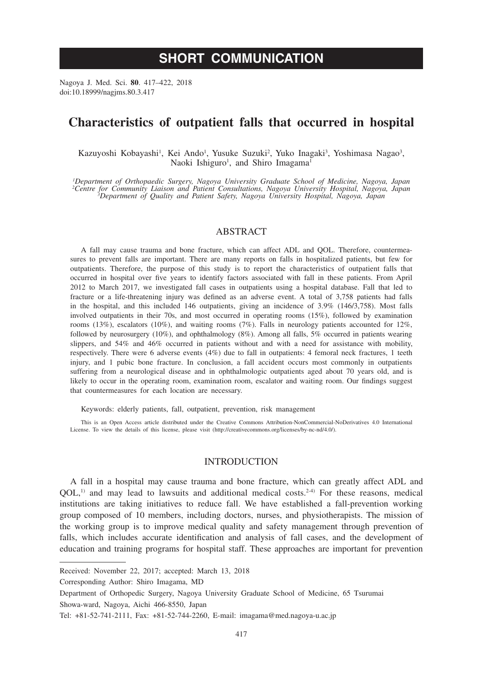Nagoya J. Med. Sci. **80**. 417–422, 2018 doi:10.18999/nagjms.80.3.417

# **Characteristics of outpatient falls that occurred in hospital**

Kazuyoshi Kobayashi<sup>1</sup>, Kei Ando<sup>1</sup>, Yusuke Suzuki<sup>2</sup>, Yuko Inagaki<sup>3</sup>, Yoshimasa Nagao<sup>3</sup>, Naoki Ishiguro<sup>1</sup>, and Shiro Imagama<sup>1</sup>

*1 Department of Orthopaedic Surgery, Nagoya University Graduate School of Medicine, Nagoya, Japan 2 Centre for Community Liaison and Patient Consultations, Nagoya University Hospital, Nagoya, Japan <sup>3</sup> Department of Quality and Patient Safety, Nagoya University Hospital, Nagoya, Japan*

# ABSTRACT

A fall may cause trauma and bone fracture, which can affect ADL and QOL. Therefore, countermeasures to prevent falls are important. There are many reports on falls in hospitalized patients, but few for outpatients. Therefore, the purpose of this study is to report the characteristics of outpatient falls that occurred in hospital over five years to identify factors associated with fall in these patients. From April 2012 to March 2017, we investigated fall cases in outpatients using a hospital database. Fall that led to fracture or a life-threatening injury was defined as an adverse event. A total of 3,758 patients had falls in the hospital, and this included 146 outpatients, giving an incidence of 3.9% (146/3,758). Most falls involved outpatients in their 70s, and most occurred in operating rooms (15%), followed by examination rooms (13%), escalators (10%), and waiting rooms (7%). Falls in neurology patients accounted for 12%, followed by neurosurgery (10%), and ophthalmology (8%). Among all falls, 5% occurred in patients wearing slippers, and 54% and 46% occurred in patients without and with a need for assistance with mobility, respectively. There were 6 adverse events (4%) due to fall in outpatients: 4 femoral neck fractures, 1 teeth injury, and 1 pubic bone fracture. In conclusion, a fall accident occurs most commonly in outpatients suffering from a neurological disease and in ophthalmologic outpatients aged about 70 years old, and is likely to occur in the operating room, examination room, escalator and waiting room. Our findings suggest that countermeasures for each location are necessary.

Keywords: elderly patients, fall, outpatient, prevention, risk management

This is an Open Access article distributed under the Creative Commons Attribution-NonCommercial-NoDerivatives 4.0 International License. To view the details of this license, please visit (http://creativecommons.org/licenses/by-nc-nd/4.0/).

### INTRODUCTION

A fall in a hospital may cause trauma and bone fracture, which can greatly affect ADL and  $OOL<sup>1</sup>$  and may lead to lawsuits and additional medical costs.<sup>2-4)</sup> For these reasons, medical institutions are taking initiatives to reduce fall. We have established a fall-prevention working group composed of 10 members, including doctors, nurses, and physiotherapists. The mission of the working group is to improve medical quality and safety management through prevention of falls, which includes accurate identification and analysis of fall cases, and the development of education and training programs for hospital staff. These approaches are important for prevention

Corresponding Author: Shiro Imagama, MD

Received: November 22, 2017; accepted: March 13, 2018

Department of Orthopedic Surgery, Nagoya University Graduate School of Medicine, 65 Tsurumai Showa-ward, Nagoya, Aichi 466-8550, Japan

Tel: +81-52-741-2111, Fax: +81-52-744-2260, E-mail: imagama@med.nagoya-u.ac.jp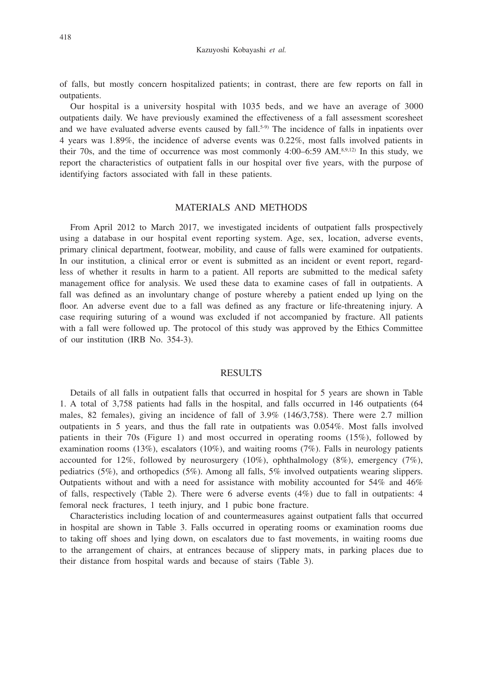of falls, but mostly concern hospitalized patients; in contrast, there are few reports on fall in outpatients.

Our hospital is a university hospital with 1035 beds, and we have an average of 3000 outpatients daily. We have previously examined the effectiveness of a fall assessment scoresheet and we have evaluated adverse events caused by fall.<sup>5-9)</sup> The incidence of falls in inpatients over 4 years was 1.89%, the incidence of adverse events was 0.22%, most falls involved patients in their 70s, and the time of occurrence was most commonly  $4:00-6:59$  AM.<sup>8,9,12)</sup> In this study, we report the characteristics of outpatient falls in our hospital over five years, with the purpose of identifying factors associated with fall in these patients.

## MATERIALS AND METHODS

From April 2012 to March 2017, we investigated incidents of outpatient falls prospectively using a database in our hospital event reporting system. Age, sex, location, adverse events, primary clinical department, footwear, mobility, and cause of falls were examined for outpatients. In our institution, a clinical error or event is submitted as an incident or event report, regardless of whether it results in harm to a patient. All reports are submitted to the medical safety management office for analysis. We used these data to examine cases of fall in outpatients. A fall was defined as an involuntary change of posture whereby a patient ended up lying on the floor. An adverse event due to a fall was defined as any fracture or life-threatening injury. A case requiring suturing of a wound was excluded if not accompanied by fracture. All patients with a fall were followed up. The protocol of this study was approved by the Ethics Committee of our institution (IRB No. 354-3).

#### RESULTS

Details of all falls in outpatient falls that occurred in hospital for 5 years are shown in Table 1. A total of 3,758 patients had falls in the hospital, and falls occurred in 146 outpatients (64 males, 82 females), giving an incidence of fall of 3.9% (146/3,758). There were 2.7 million outpatients in 5 years, and thus the fall rate in outpatients was 0.054%. Most falls involved patients in their 70s (Figure 1) and most occurred in operating rooms (15%), followed by examination rooms  $(13\%)$ , escalators  $(10\%)$ , and waiting rooms  $(7\%)$ . Falls in neurology patients accounted for 12%, followed by neurosurgery (10%), ophthalmology (8%), emergency (7%), pediatrics (5%), and orthopedics (5%). Among all falls, 5% involved outpatients wearing slippers. Outpatients without and with a need for assistance with mobility accounted for 54% and 46% of falls, respectively (Table 2). There were 6 adverse events  $(4\%)$  due to fall in outpatients: 4 femoral neck fractures, 1 teeth injury, and 1 pubic bone fracture.

Characteristics including location of and countermeasures against outpatient falls that occurred in hospital are shown in Table 3. Falls occurred in operating rooms or examination rooms due to taking off shoes and lying down, on escalators due to fast movements, in waiting rooms due to the arrangement of chairs, at entrances because of slippery mats, in parking places due to their distance from hospital wards and because of stairs (Table 3).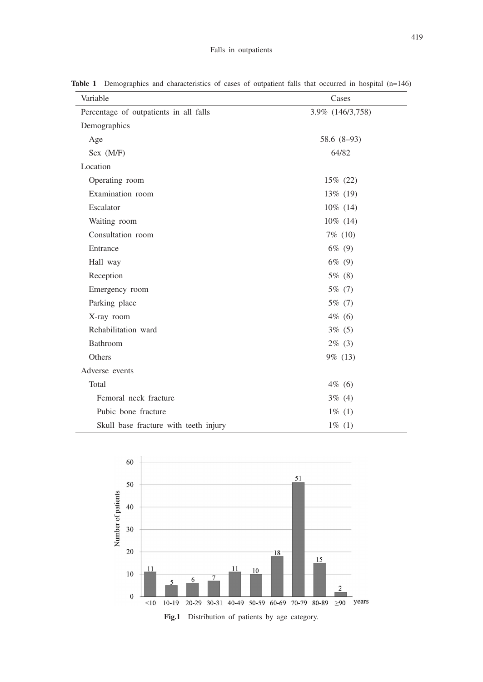| Variable                               | Cases            |
|----------------------------------------|------------------|
| Percentage of outpatients in all falls | 3.9% (146/3,758) |
| Demographics                           |                  |
| Age                                    | 58.6 (8-93)      |
| Sex (M/F)                              | 64/82            |
| Location                               |                  |
| Operating room                         | $15\%$ (22)      |
| Examination room                       | $13\%$ (19)      |
| Escalator                              | $10\%$ (14)      |
| Waiting room                           | $10\%$ (14)      |
| Consultation room                      | $7\%$ (10)       |
| Entrance                               | $6\%$ (9)        |
| Hall way                               | $6\%$ (9)        |
| Reception                              | $5\%$ (8)        |
| Emergency room                         | $5\%$ (7)        |
| Parking place                          | $5\%$ (7)        |
| X-ray room                             | $4\%$ (6)        |
| Rehabilitation ward                    | $3\%$ (5)        |
| Bathroom                               | $2\%$ (3)        |
| Others                                 | 9% (13)          |
| Adverse events                         |                  |
| Total                                  | $4\%$ (6)        |
| Femoral neck fracture                  | $3\%$ (4)        |
| Pubic bone fracture                    | $1\%$ (1)        |
| Skull base fracture with teeth injury  | $1\%$ (1)        |

Table 1 Demographics and characteristics of cases of outpatient falls that occurred in hospital (n=146)

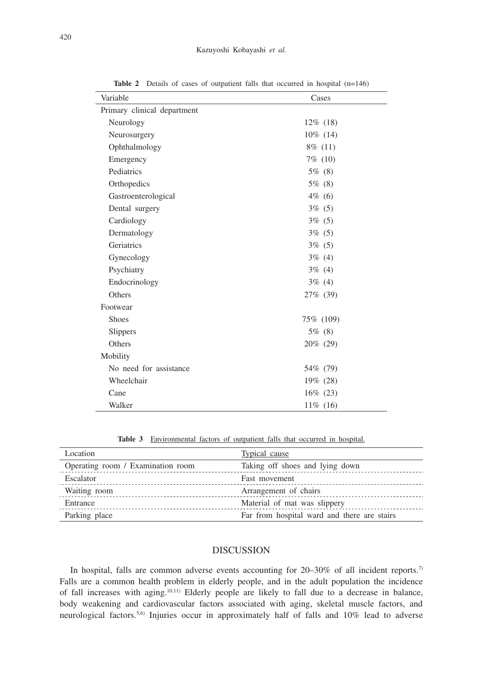| Variable                    | Cases       |
|-----------------------------|-------------|
| Primary clinical department |             |
| Neurology                   | $12\%$ (18) |
| Neurosurgery                | 10% (14)    |
| Ophthalmology               | $8\%$ (11)  |
| Emergency                   | $7\%$ (10)  |
| Pediatrics                  | $5\%$ (8)   |
| Orthopedics                 | 5% (8)      |
| Gastroenterological         | $4\%$ (6)   |
| Dental surgery              | $3\%$ (5)   |
| Cardiology                  | $3\%$ (5)   |
| Dermatology                 | $3\%$ (5)   |
| Geriatrics                  | $3\%$ (5)   |
| Gynecology                  | $3\%$ (4)   |
| Psychiatry                  | $3\%$ (4)   |
| Endocrinology               | $3\%$ (4)   |
| Others                      | 27% (39)    |
| Footwear                    |             |
| <b>Shoes</b>                | 75% (109)   |
| Slippers                    | $5\%$ (8)   |
| Others                      | 20% (29)    |
| Mobility                    |             |
| No need for assistance      | 54\% (79)   |
| Wheelchair                  | 19% (28)    |
| Cane                        | 16% (23)    |
| Walker                      | 11% (16)    |

Table 2 Details of cases of outpatient falls that occurred in hospital (n=146)

**Table 3** Environmental factors of outpatient falls that occurred in hospital.

| Location                          | <b>Typical cause</b>                        |
|-----------------------------------|---------------------------------------------|
| Operating room / Examination room | Taking off shoes and lying down             |
| Escalator                         | Fast movement                               |
| Waiting room                      | Arrangement of chairs                       |
| Entrance                          | Material of mat was slippery                |
| Parking place                     | Far from hospital ward and there are stairs |

# DISCUSSION

In hospital, falls are common adverse events accounting for 20-30% of all incident reports.<sup>7)</sup> Falls are a common health problem in elderly people, and in the adult population the incidence of fall increases with aging.10,11) Elderly people are likely to fall due to a decrease in balance, body weakening and cardiovascular factors associated with aging, skeletal muscle factors, and neurological factors.5,6) Injuries occur in approximately half of falls and 10% lead to adverse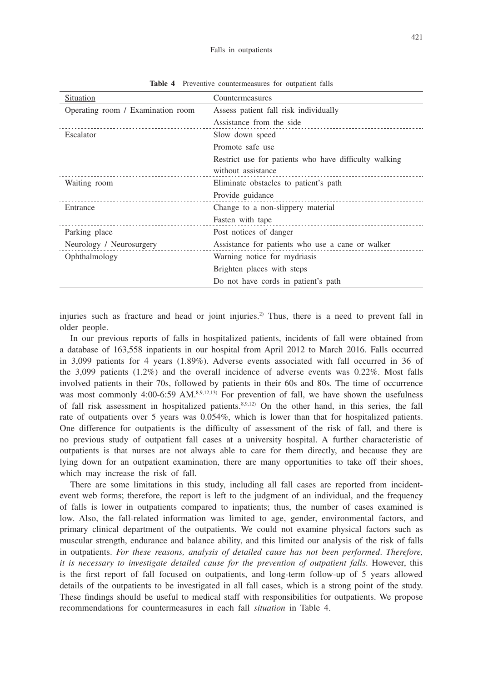| Situation                         | Countermeasures                                       |
|-----------------------------------|-------------------------------------------------------|
| Operating room / Examination room | Assess patient fall risk individually                 |
|                                   | Assistance from the side                              |
| Escalator                         | Slow down speed                                       |
|                                   | Promote safe use                                      |
|                                   | Restrict use for patients who have difficulty walking |
|                                   | without assistance                                    |
| Waiting room                      | Eliminate obstacles to patient's path                 |
|                                   | Provide guidance                                      |
| Entrance                          | Change to a non-slippery material                     |
|                                   | Fasten with tape                                      |
| Parking place                     | Post notices of danger                                |
| Neurology / Neurosurgery          | Assistance for patients who use a cane or walker      |
| Ophthalmology                     | Warning notice for mydriasis                          |
|                                   | Brighten places with steps                            |
|                                   | Do not have cords in patient's path                   |

**Table 4** Preventive countermeasures for outpatient falls

injuries such as fracture and head or joint injuries.<sup>2)</sup> Thus, there is a need to prevent fall in older people.

In our previous reports of falls in hospitalized patients, incidents of fall were obtained from a database of 163,558 inpatients in our hospital from April 2012 to March 2016. Falls occurred in 3,099 patients for 4 years (1.89%). Adverse events associated with fall occurred in 36 of the 3,099 patients (1.2%) and the overall incidence of adverse events was 0.22%. Most falls involved patients in their 70s, followed by patients in their 60s and 80s. The time of occurrence was most commonly 4:00-6:59 AM.<sup>8,9,12,13)</sup> For prevention of fall, we have shown the usefulness of fall risk assessment in hospitalized patients. $8.9,12$  On the other hand, in this series, the fall rate of outpatients over 5 years was 0.054%, which is lower than that for hospitalized patients. One difference for outpatients is the difficulty of assessment of the risk of fall, and there is no previous study of outpatient fall cases at a university hospital. A further characteristic of outpatients is that nurses are not always able to care for them directly, and because they are lying down for an outpatient examination, there are many opportunities to take off their shoes, which may increase the risk of fall.

There are some limitations in this study, including all fall cases are reported from incidentevent web forms; therefore, the report is left to the judgment of an individual, and the frequency of falls is lower in outpatients compared to inpatients; thus, the number of cases examined is low. Also, the fall-related information was limited to age, gender, environmental factors, and primary clinical department of the outpatients. We could not examine physical factors such as muscular strength, endurance and balance ability, and this limited our analysis of the risk of falls in outpatients. *For these reasons, analysis of detailed cause has not been performed*. *Therefore, it is necessary to investigate detailed cause for the prevention of outpatient falls*. However, this is the first report of fall focused on outpatients, and long-term follow-up of 5 years allowed details of the outpatients to be investigated in all fall cases, which is a strong point of the study. These findings should be useful to medical staff with responsibilities for outpatients. We propose recommendations for countermeasures in each fall *situation* in Table 4.